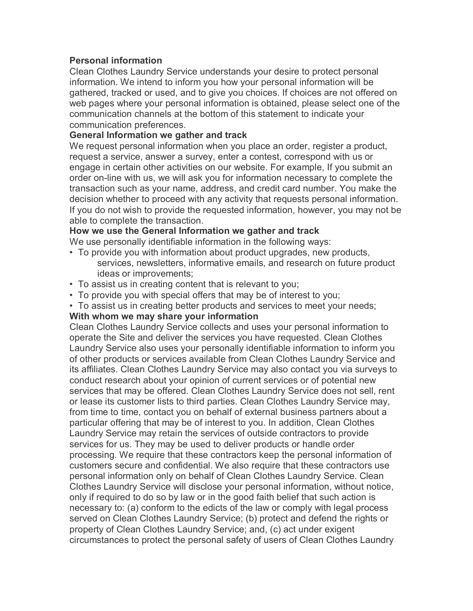# **Personal information**

Clean Clothes Laundry Service understands your desire to protect personal information. We intend to inform you how your personal information will be gathered, tracked or used, and to give you choices. If choices are not offered on web pages where your personal information is obtained, please select one of the communication channels at the bottom of this statement to indicate your communication preferences.

### **General Information we gather and track**

We request personal information when you place an order, register a product, request a service, answer a survey, enter a contest, correspond with us or engage in certain other activities on our website. For example, If you submit an order on-line with us, we will ask you for information necessary to complete the transaction such as your name, address, and credit card number. You make the decision whether to proceed with any activity that requests personal information. If you do not wish to provide the requested information, however, you may not be able to complete the transaction.

### **How we use the General Information we gather and track**

We use personally identifiable information in the following ways:

- To provide you with information about product upgrades, new products, services, newsletters, informative emails, and research on future product ideas or improvements;
- To assist us in creating content that is relevant to you;
- To provide you with special offers that may be of interest to you;
- To assist us in creating better products and services to meet your needs;

#### **With whom we may share your information**

Clean Clothes Laundry Service collects and uses your personal information to operate the Site and deliver the services you have requested. Clean Clothes Laundry Service also uses your personally identifiable information to inform you of other products or services available from Clean Clothes Laundry Service and its affiliates. Clean Clothes Laundry Service may also contact you via surveys to conduct research about your opinion of current services or of potential new services that may be offered. Clean Clothes Laundry Service does not sell, rent or lease its customer lists to third parties. Clean Clothes Laundry Service may, from time to time, contact you on behalf of external business partners about a particular offering that may be of interest to you. In addition, Clean Clothes Laundry Service may retain the services of outside contractors to provide services for us. They may be used to deliver products or handle order processing. We require that these contractors keep the personal information of customers secure and confidential. We also require that these contractors use personal information only on behalf of Clean Clothes Laundry Service. Clean Clothes Laundry Service will disclose your personal information, without notice, only if required to do so by law or in the good faith belief that such action is necessary to: (a) conform to the edicts of the law or comply with legal process served on Clean Clothes Laundry Service; (b) protect and defend the rights or property of Clean Clothes Laundry Service; and, (c) act under exigent circumstances to protect the personal safety of users of Clean Clothes Laundry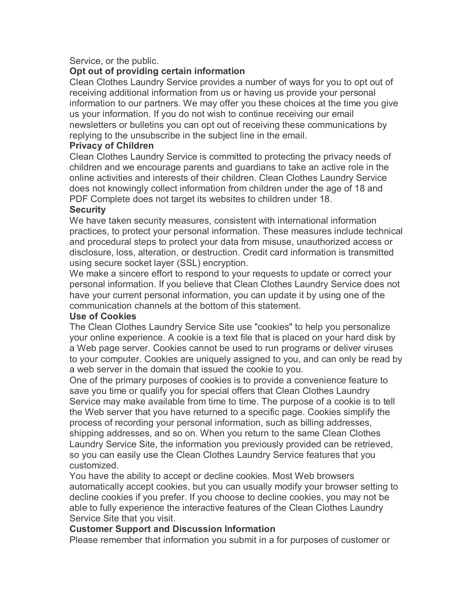### Service, or the public.

# **Opt out of providing certain information**

Clean Clothes Laundry Service provides a number of ways for you to opt out of receiving additional information from us or having us provide your personal information to our partners. We may offer you these choices at the time you give us your information. If you do not wish to continue receiving our email newsletters or bulletins you can opt out of receiving these communications by replying to the unsubscribe in the subject line in the email.

### **Privacy of Children**

Clean Clothes Laundry Service is committed to protecting the privacy needs of children and we encourage parents and guardians to take an active role in the online activities and interests of their children. Clean Clothes Laundry Service does not knowingly collect information from children under the age of 18 and PDF Complete does not target its websites to children under 18.

### **Security**

We have taken security measures, consistent with international information practices, to protect your personal information. These measures include technical and procedural steps to protect your data from misuse, unauthorized access or disclosure, loss, alteration, or destruction. Credit card information is transmitted using secure socket layer (SSL) encryption.

We make a sincere effort to respond to your requests to update or correct your personal information. If you believe that Clean Clothes Laundry Service does not have your current personal information, you can update it by using one of the communication channels at the bottom of this statement.

### **Use of Cookies**

The Clean Clothes Laundry Service Site use "cookies" to help you personalize your online experience. A cookie is a text file that is placed on your hard disk by a Web page server. Cookies cannot be used to run programs or deliver viruses to your computer. Cookies are uniquely assigned to you, and can only be read by a web server in the domain that issued the cookie to you.

One of the primary purposes of cookies is to provide a convenience feature to save you time or qualify you for special offers that Clean Clothes Laundry Service may make available from time to time. The purpose of a cookie is to tell the Web server that you have returned to a specific page. Cookies simplify the process of recording your personal information, such as billing addresses, shipping addresses, and so on. When you return to the same Clean Clothes Laundry Service Site, the information you previously provided can be retrieved, so you can easily use the Clean Clothes Laundry Service features that you customized.

You have the ability to accept or decline cookies. Most Web browsers automatically accept cookies, but you can usually modify your browser setting to decline cookies if you prefer. If you choose to decline cookies, you may not be able to fully experience the interactive features of the Clean Clothes Laundry Service Site that you visit.

### **Customer Support and Discussion Information**

Please remember that information you submit in a for purposes of customer or